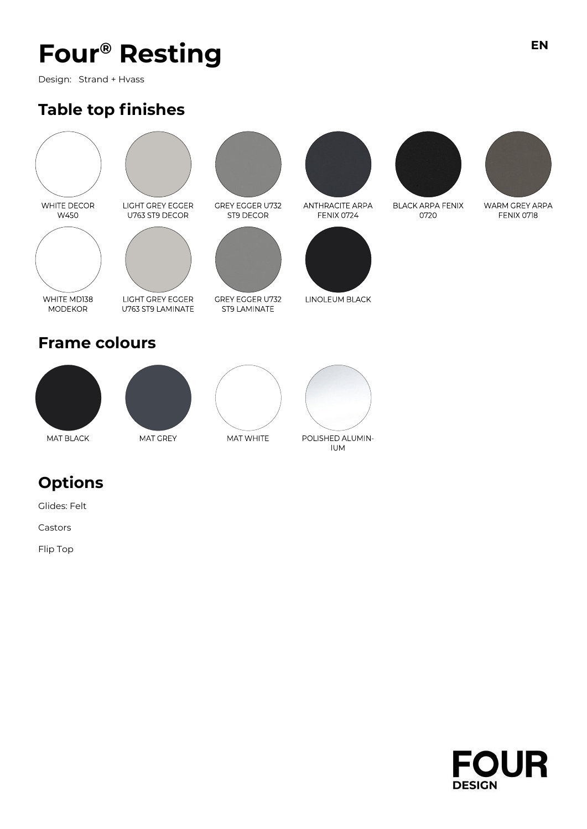Design: Strand + Hvass

### **Table top finishes**





LIGHT GREY EGGER U763 ST9 DECOR



LIGHT GREY EGGER U763 ST9 LAMINATE

**GREY EGGER U732** ST9 LAMINATE

**GREY EGGER U732** 

ST9 DECOR



**ANTHRACITE ARPA** FENIX 0724



LINOLEUM BLACK



**BLACK ARPA FENIX** 0720



WARM GREY ARPA FENIX 0718





WHITE MDI38

**MODEKOR** 



MAT GREY





**IUM** 

### **Options**

Glides: Felt

Castors

Flip Top

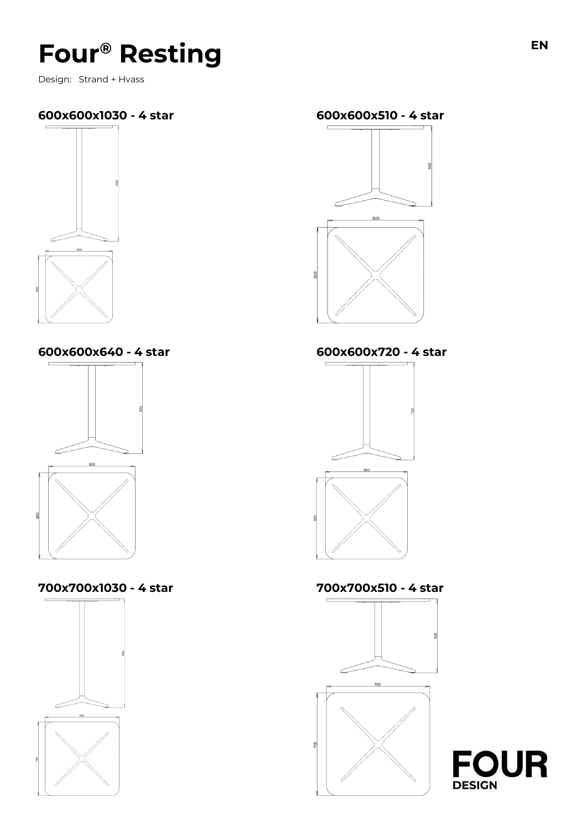Design: Strand + Hvass

### **600x600x1030 - 4 star 600x600x510 - 4 star**



**600x600x640 - 4 star 600x600x720 - 4 star**



**700x700x1030 - 4 star 700x700x510 - 4 star**









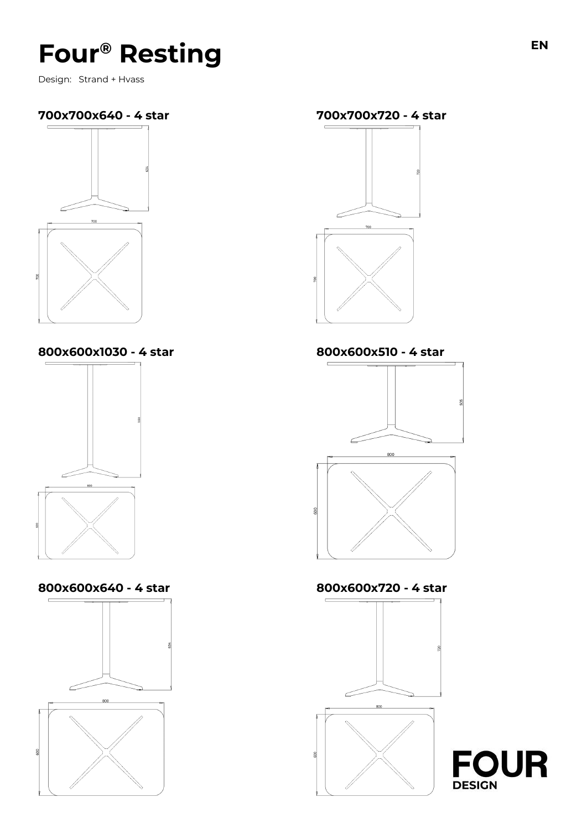Design: Strand + Hvass



**800x600x1030 - 4 star 800x600x510 - 4 star**



**800x600x640 - 4 star 800x600x720 - 4 star**











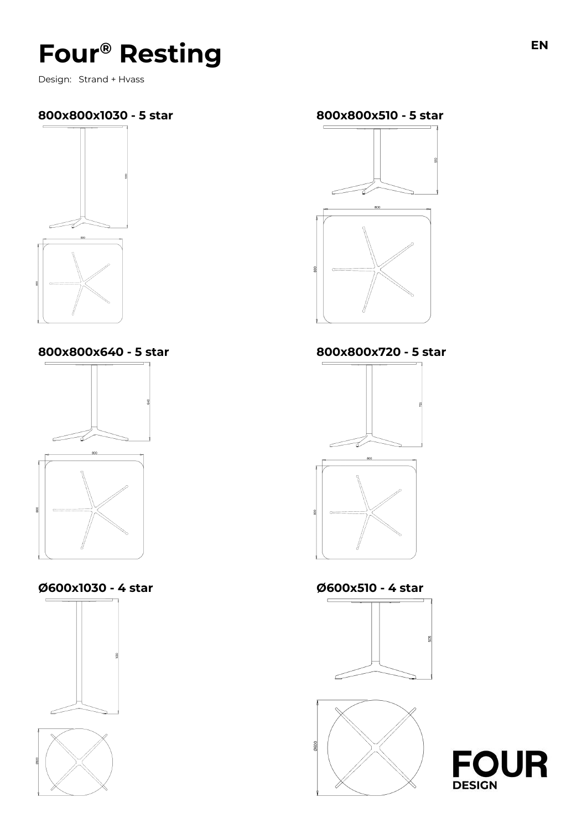Design: Strand + Hvass

### **800x800x1030 - 5 star 800x800x510 - 5 star**



**800x800x640 - 5 star 800x800x720 - 5 star**



#### **Ø600x1030 - 4 star Ø600x510 - 4 star**















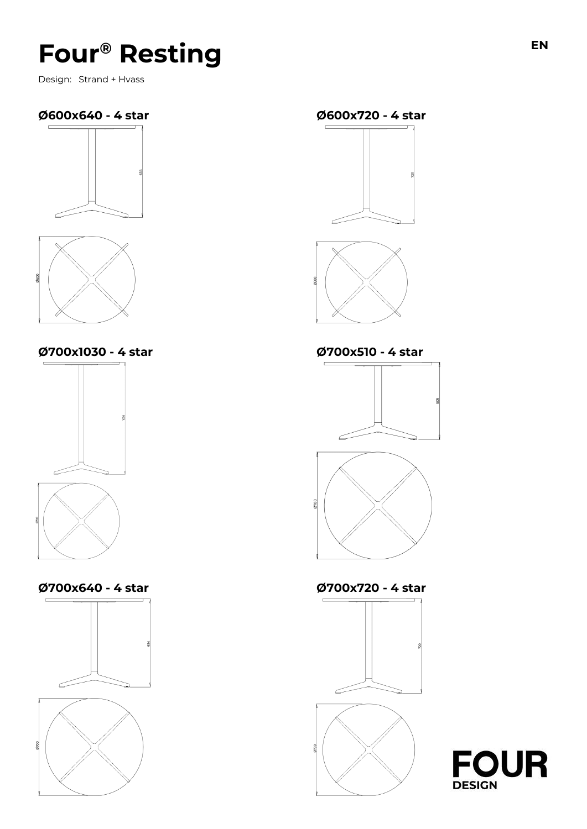Design: Strand + Hvass

### **Ø600x640 - 4 star Ø600x720 - 4 star**





**Ø700x1030 - 4 star Ø700x510 - 4 star**



**Ø700x640 - 4 star Ø700x720 - 4 star**